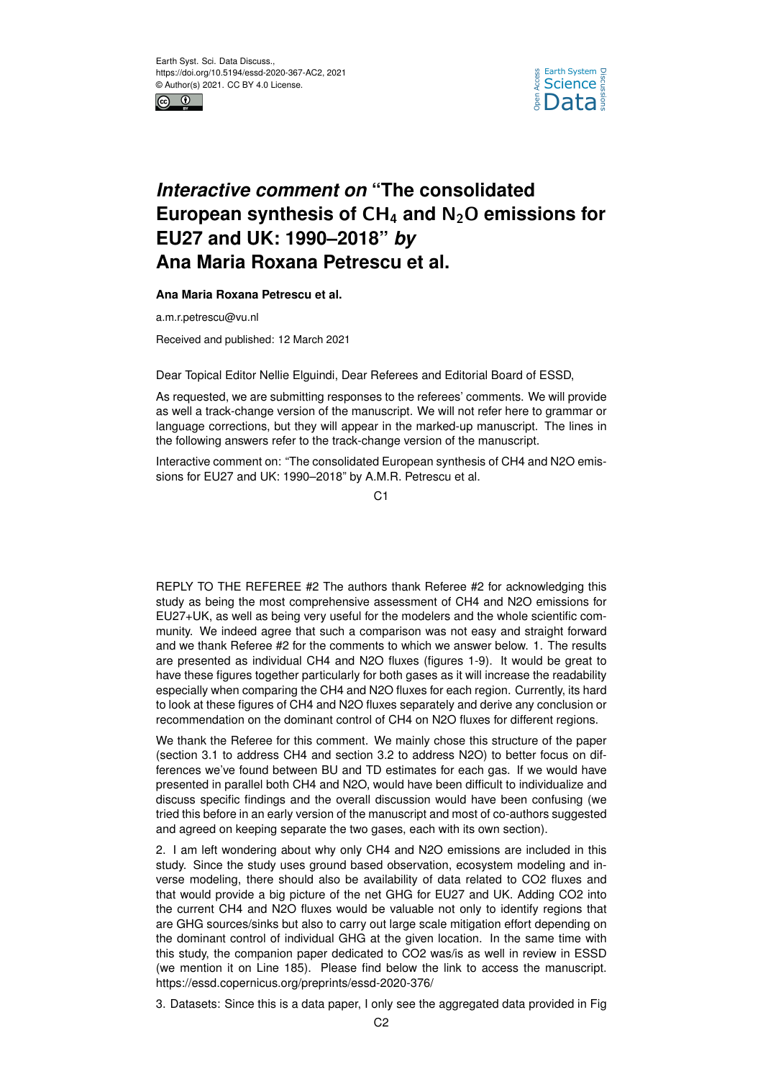



## *Interactive comment on* **"The consolidated European synthesis of** CH<sup>4</sup> **and** N2O **emissions for EU27 and UK: 1990–2018"** *by* **Ana Maria Roxana Petrescu et al.**

## **Ana Maria Roxana Petrescu et al.**

a.m.r.petrescu@vu.nl

Received and published: 12 March 2021

Dear Topical Editor Nellie Elguindi, Dear Referees and Editorial Board of ESSD,

As requested, we are submitting responses to the referees' comments. We will provide as well a track-change version of the manuscript. We will not refer here to grammar or language corrections, but they will appear in the marked-up manuscript. The lines in the following answers refer to the track-change version of the manuscript.

Interactive comment on: "The consolidated European synthesis of CH4 and N2O emissions for EU27 and UK: 1990–2018" by A.M.R. Petrescu et al.

 $C<sub>1</sub>$ 

REPLY TO THE REFEREE #2 The authors thank Referee #2 for acknowledging this study as being the most comprehensive assessment of CH4 and N2O emissions for EU27+UK, as well as being very useful for the modelers and the whole scientific community. We indeed agree that such a comparison was not easy and straight forward and we thank Referee #2 for the comments to which we answer below. 1. The results are presented as individual CH4 and N2O fluxes (figures 1-9). It would be great to have these figures together particularly for both gases as it will increase the readability especially when comparing the CH4 and N2O fluxes for each region. Currently, its hard to look at these figures of CH4 and N2O fluxes separately and derive any conclusion or recommendation on the dominant control of CH4 on N2O fluxes for different regions.

We thank the Referee for this comment. We mainly chose this structure of the paper (section 3.1 to address CH4 and section 3.2 to address N2O) to better focus on differences we've found between BU and TD estimates for each gas. If we would have presented in parallel both CH4 and N2O, would have been difficult to individualize and discuss specific findings and the overall discussion would have been confusing (we tried this before in an early version of the manuscript and most of co-authors suggested and agreed on keeping separate the two gases, each with its own section).

2. I am left wondering about why only CH4 and N2O emissions are included in this study. Since the study uses ground based observation, ecosystem modeling and inverse modeling, there should also be availability of data related to CO2 fluxes and that would provide a big picture of the net GHG for EU27 and UK. Adding CO2 into the current CH4 and N2O fluxes would be valuable not only to identify regions that are GHG sources/sinks but also to carry out large scale mitigation effort depending on the dominant control of individual GHG at the given location. In the same time with this study, the companion paper dedicated to CO2 was/is as well in review in ESSD (we mention it on Line 185). Please find below the link to access the manuscript. https://essd.copernicus.org/preprints/essd-2020-376/

3. Datasets: Since this is a data paper, I only see the aggregated data provided in Fig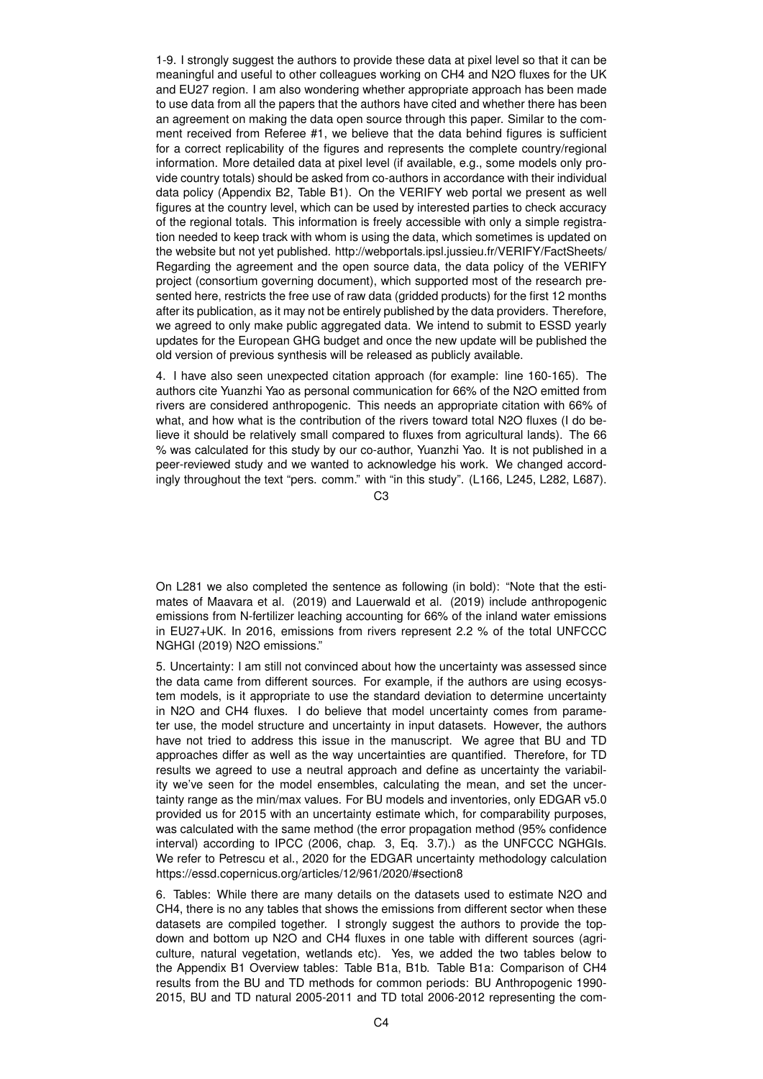1-9. I strongly suggest the authors to provide these data at pixel level so that it can be meaningful and useful to other colleagues working on CH4 and N2O fluxes for the UK and EU27 region. I am also wondering whether appropriate approach has been made to use data from all the papers that the authors have cited and whether there has been an agreement on making the data open source through this paper. Similar to the comment received from Referee #1, we believe that the data behind figures is sufficient for a correct replicability of the figures and represents the complete country/regional information. More detailed data at pixel level (if available, e.g., some models only provide country totals) should be asked from co-authors in accordance with their individual data policy (Appendix B2, Table B1). On the VERIFY web portal we present as well figures at the country level, which can be used by interested parties to check accuracy of the regional totals. This information is freely accessible with only a simple registration needed to keep track with whom is using the data, which sometimes is updated on the website but not yet published. http://webportals.ipsl.jussieu.fr/VERIFY/FactSheets/ Regarding the agreement and the open source data, the data policy of the VERIFY project (consortium governing document), which supported most of the research presented here, restricts the free use of raw data (gridded products) for the first 12 months after its publication, as it may not be entirely published by the data providers. Therefore, we agreed to only make public aggregated data. We intend to submit to ESSD yearly updates for the European GHG budget and once the new update will be published the old version of previous synthesis will be released as publicly available.

4. I have also seen unexpected citation approach (for example: line 160-165). The authors cite Yuanzhi Yao as personal communication for 66% of the N2O emitted from rivers are considered anthropogenic. This needs an appropriate citation with 66% of what, and how what is the contribution of the rivers toward total N2O fluxes (I do believe it should be relatively small compared to fluxes from agricultural lands). The 66 % was calculated for this study by our co-author, Yuanzhi Yao. It is not published in a peer-reviewed study and we wanted to acknowledge his work. We changed accordingly throughout the text "pers. comm." with "in this study". (L166, L245, L282, L687).

 $C<sub>3</sub>$ 

On L281 we also completed the sentence as following (in bold): "Note that the estimates of Maavara et al. (2019) and Lauerwald et al. (2019) include anthropogenic emissions from N-fertilizer leaching accounting for 66% of the inland water emissions in EU27+UK. In 2016, emissions from rivers represent 2.2 % of the total UNFCCC NGHGI (2019) N2O emissions."

5. Uncertainty: I am still not convinced about how the uncertainty was assessed since the data came from different sources. For example, if the authors are using ecosystem models, is it appropriate to use the standard deviation to determine uncertainty in N2O and CH4 fluxes. I do believe that model uncertainty comes from parameter use, the model structure and uncertainty in input datasets. However, the authors have not tried to address this issue in the manuscript. We agree that BU and TD approaches differ as well as the way uncertainties are quantified. Therefore, for TD results we agreed to use a neutral approach and define as uncertainty the variability we've seen for the model ensembles, calculating the mean, and set the uncertainty range as the min/max values. For BU models and inventories, only EDGAR v5.0 provided us for 2015 with an uncertainty estimate which, for comparability purposes, was calculated with the same method (the error propagation method (95% confidence interval) according to IPCC (2006, chap. 3, Eq. 3.7).) as the UNFCCC NGHGIs. We refer to Petrescu et al., 2020 for the EDGAR uncertainty methodology calculation https://essd.copernicus.org/articles/12/961/2020/#section8

6. Tables: While there are many details on the datasets used to estimate N2O and CH4, there is no any tables that shows the emissions from different sector when these datasets are compiled together. I strongly suggest the authors to provide the topdown and bottom up N2O and CH4 fluxes in one table with different sources (agriculture, natural vegetation, wetlands etc). Yes, we added the two tables below to the Appendix B1 Overview tables: Table B1a, B1b. Table B1a: Comparison of CH4 results from the BU and TD methods for common periods: BU Anthropogenic 1990- 2015, BU and TD natural 2005-2011 and TD total 2006-2012 representing the com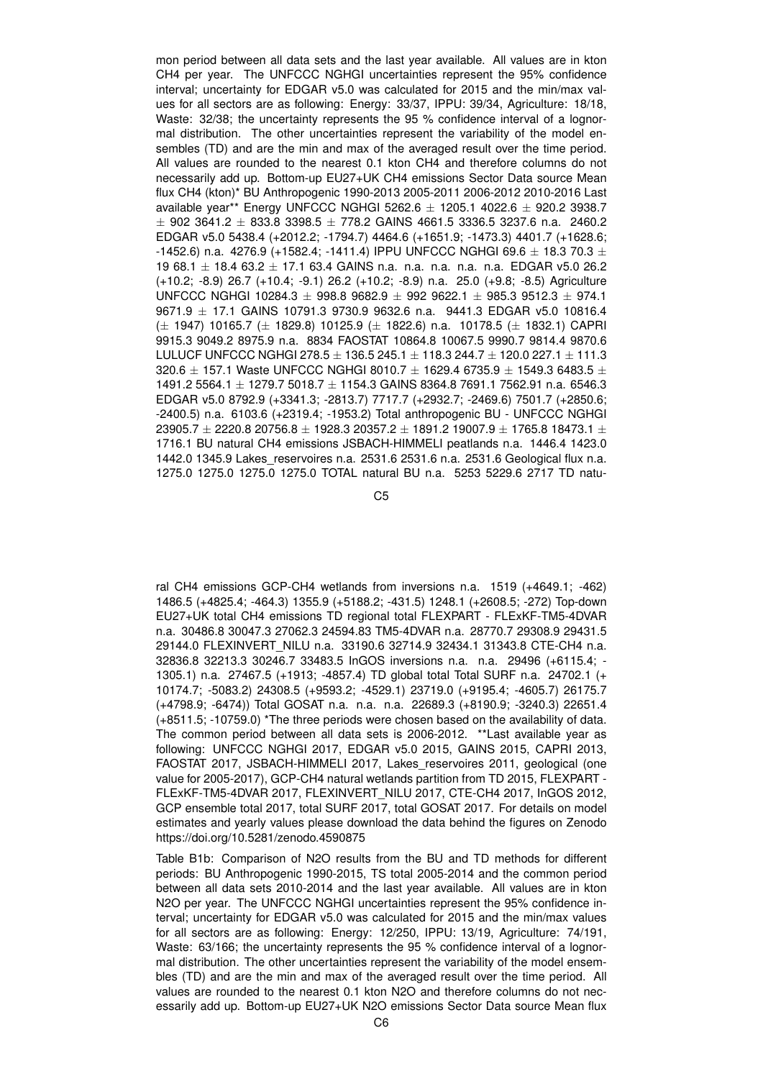mon period between all data sets and the last year available. All values are in kton CH4 per year. The UNFCCC NGHGI uncertainties represent the 95% confidence interval; uncertainty for EDGAR v5.0 was calculated for 2015 and the min/max values for all sectors are as following: Energy: 33/37, IPPU: 39/34, Agriculture: 18/18, Waste: 32/38; the uncertainty represents the 95 % confidence interval of a lognormal distribution. The other uncertainties represent the variability of the model ensembles (TD) and are the min and max of the averaged result over the time period. All values are rounded to the nearest 0.1 kton CH4 and therefore columns do not necessarily add up. Bottom-up EU27+UK CH4 emissions Sector Data source Mean flux CH4 (kton)\* BU Anthropogenic 1990-2013 2005-2011 2006-2012 2010-2016 Last available year\*\* Energy UNFCCC NGHGI 5262.6  $\pm$  1205.1 4022.6  $\pm$  920.2 3938.7  $\pm$  902 3641.2  $\pm$  833.8 3398.5  $\pm$  778.2 GAINS 4661.5 3336.5 3237.6 n.a. 2460.2 EDGAR v5.0 5438.4 (+2012.2; -1794.7) 4464.6 (+1651.9; -1473.3) 4401.7 (+1628.6; -1452.6) n.a. 4276.9 (+1582.4; -1411.4) IPPU UNFCCC NGHGI 69.6  $\pm$  18.3 70.3  $\pm$ 19 68.1 ± 18.4 63.2 ± 17.1 63.4 GAINS n.a. n.a. n.a. n.a. n.a. EDGAR v5.0 26.2 (+10.2; -8.9) 26.7 (+10.4; -9.1) 26.2 (+10.2; -8.9) n.a. 25.0 (+9.8; -8.5) Agriculture UNFCCC NGHGI 10284.3  $\pm$  998.8 9682.9  $\pm$  992 9622.1  $\pm$  985.3 9512.3  $\pm$  974.1 9671.9 ± 17.1 GAINS 10791.3 9730.9 9632.6 n.a. 9441.3 EDGAR v5.0 10816.4  $(\pm 1947)$  10165.7  $(\pm 1829.8)$  10125.9  $(\pm 1822.6)$  n.a. 10178.5  $(\pm 1832.1)$  CAPRI 9915.3 9049.2 8975.9 n.a. 8834 FAOSTAT 10864.8 10067.5 9990.7 9814.4 9870.6 LULUCF UNFCCC NGHGI 278.5  $\pm$  136.5 245.1  $\pm$  118.3 244.7  $\pm$  120.0 227.1  $\pm$  111.3 320.6  $\pm$  157.1 Waste UNFCCC NGHGI 8010.7  $\pm$  1629.4 6735.9  $\pm$  1549.3 6483.5  $\pm$ 1491.2 5564.1 ± 1279.7 5018.7 ± 1154.3 GAINS 8364.8 7691.1 7562.91 n.a. 6546.3 EDGAR v5.0 8792.9 (+3341.3; -2813.7) 7717.7 (+2932.7; -2469.6) 7501.7 (+2850.6; -2400.5) n.a. 6103.6 (+2319.4; -1953.2) Total anthropogenic BU - UNFCCC NGHGI  $23905.7 \pm 2220.8$   $20756.8 \pm 1928.3$   $20357.2 \pm 1891.2$  19007.9  $\pm$  1765.8 18473.1  $\pm$ 1716.1 BU natural CH4 emissions JSBACH-HIMMELI peatlands n.a. 1446.4 1423.0 1442.0 1345.9 Lakes\_reservoires n.a. 2531.6 2531.6 n.a. 2531.6 Geological flux n.a. 1275.0 1275.0 1275.0 1275.0 TOTAL natural BU n.a. 5253 5229.6 2717 TD natu-

C5

ral CH4 emissions GCP-CH4 wetlands from inversions n.a. 1519 (+4649.1; -462) 1486.5 (+4825.4; -464.3) 1355.9 (+5188.2; -431.5) 1248.1 (+2608.5; -272) Top-down EU27+UK total CH4 emissions TD regional total FLEXPART - FLExKF-TM5-4DVAR n.a. 30486.8 30047.3 27062.3 24594.83 TM5-4DVAR n.a. 28770.7 29308.9 29431.5 29144.0 FLEXINVERT\_NILU n.a. 33190.6 32714.9 32434.1 31343.8 CTE-CH4 n.a. 32836.8 32213.3 30246.7 33483.5 InGOS inversions n.a. n.a. 29496 (+6115.4; - 1305.1) n.a. 27467.5 (+1913; -4857.4) TD global total Total SURF n.a. 24702.1 (+ 10174.7; -5083.2) 24308.5 (+9593.2; -4529.1) 23719.0 (+9195.4; -4605.7) 26175.7 (+4798.9; -6474)) Total GOSAT n.a. n.a. n.a. 22689.3 (+8190.9; -3240.3) 22651.4 (+8511.5; -10759.0) \*The three periods were chosen based on the availability of data. The common period between all data sets is 2006-2012. \*\*Last available year as following: UNFCCC NGHGI 2017, EDGAR v5.0 2015, GAINS 2015, CAPRI 2013, FAOSTAT 2017, JSBACH-HIMMELI 2017, Lakes\_reservoires 2011, geological (one value for 2005-2017), GCP-CH4 natural wetlands partition from TD 2015, FLEXPART - FLExKF-TM5-4DVAR 2017, FLEXINVERT\_NILU 2017, CTE-CH4 2017, InGOS 2012, GCP ensemble total 2017, total SURF 2017, total GOSAT 2017. For details on model estimates and yearly values please download the data behind the figures on Zenodo https://doi.org/10.5281/zenodo.4590875

Table B1b: Comparison of N2O results from the BU and TD methods for different periods: BU Anthropogenic 1990-2015, TS total 2005-2014 and the common period between all data sets 2010-2014 and the last year available. All values are in kton N2O per year. The UNFCCC NGHGI uncertainties represent the 95% confidence interval; uncertainty for EDGAR v5.0 was calculated for 2015 and the min/max values for all sectors are as following: Energy: 12/250, IPPU: 13/19, Agriculture: 74/191, Waste: 63/166; the uncertainty represents the 95 % confidence interval of a lognormal distribution. The other uncertainties represent the variability of the model ensembles (TD) and are the min and max of the averaged result over the time period. All values are rounded to the nearest 0.1 kton N2O and therefore columns do not necessarily add up. Bottom-up EU27+UK N2O emissions Sector Data source Mean flux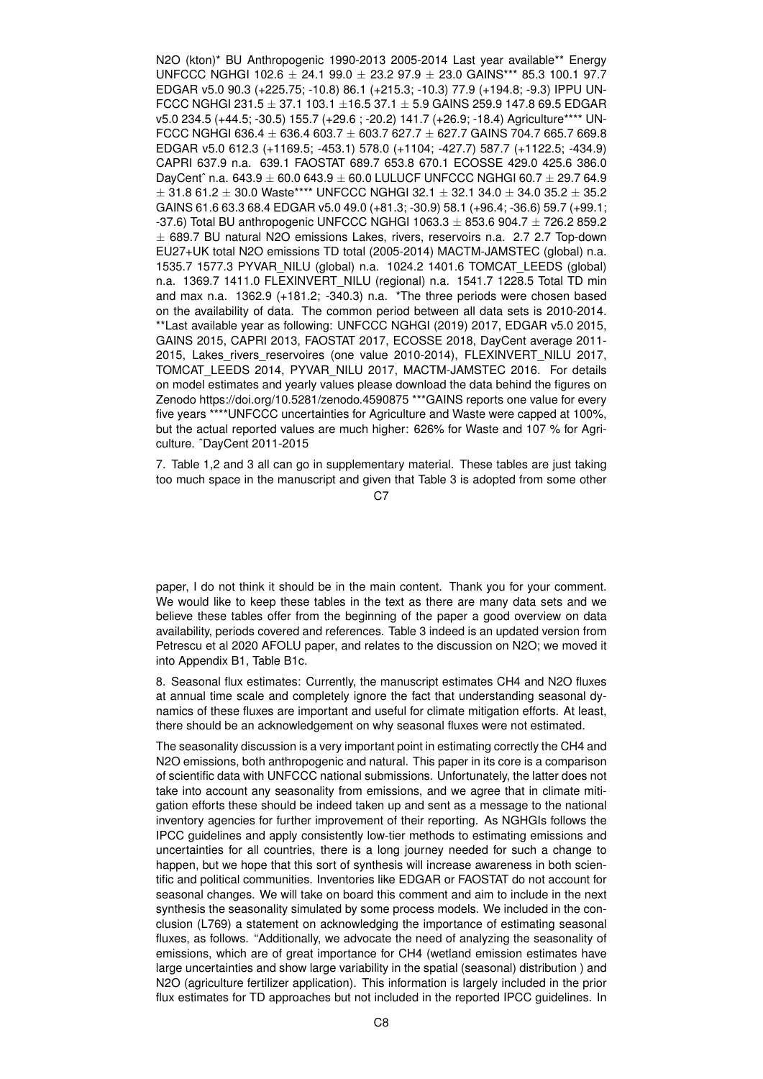N2O (kton)\* BU Anthropogenic 1990-2013 2005-2014 Last year available\*\* Energy UNFCCC NGHGI 102.6  $\pm$  24.1 99.0  $\pm$  23.2 97.9  $\pm$  23.0 GAINS\*\*\* 85.3 100.1 97.7 EDGAR v5.0 90.3 (+225.75; -10.8) 86.1 (+215.3; -10.3) 77.9 (+194.8; -9.3) IPPU UN-FCCC NGHGI 231.5  $\pm$  37.1 103.1  $\pm$ 16.5 37.1  $\pm$  5.9 GAINS 259.9 147.8 69.5 EDGAR v5.0 234.5 (+44.5; -30.5) 155.7 (+29.6 ; -20.2) 141.7 (+26.9; -18.4) Agriculture\*\*\*\* UN-FCCC NGHGI 636.4  $\pm$  636.4 603.7  $\pm$  603.7 627.7  $\pm$  627.7 GAINS 704.7 665.7 669.8 EDGAR v5.0 612.3 (+1169.5; -453.1) 578.0 (+1104; -427.7) 587.7 (+1122.5; -434.9) CAPRI 637.9 n.a. 639.1 FAOSTAT 689.7 653.8 670.1 ECOSSE 429.0 425.6 386.0 DayCent^ n.a.  $643.9 \pm 60.0$   $643.9 \pm 60.0$  LULUCF UNFCCC NGHGI  $60.7 \pm 29.7$   $64.9$  $\pm$  31.8 61.2  $\pm$  30.0 Waste\*\*\*\* UNFCCC NGHGI 32.1  $\pm$  32.1 34.0  $\pm$  34.0 35.2  $\pm$  35.2 GAINS 61.6 63.3 68.4 EDGAR v5.0 49.0 (+81.3; -30.9) 58.1 (+96.4; -36.6) 59.7 (+99.1; -37.6) Total BU anthropogenic UNFCCC NGHGI 1063.3  $\pm$  853.6 904.7  $\pm$  726.2 859.2  $\pm$  689.7 BU natural N2O emissions Lakes, rivers, reservoirs n.a. 2.7 2.7 Top-down EU27+UK total N2O emissions TD total (2005-2014) MACTM-JAMSTEC (global) n.a. 1535.7 1577.3 PYVAR\_NILU (global) n.a. 1024.2 1401.6 TOMCAT\_LEEDS (global) n.a. 1369.7 1411.0 FLEXINVERT\_NILU (regional) n.a. 1541.7 1228.5 Total TD min and max n.a. 1362.9 (+181.2; -340.3) n.a. \*The three periods were chosen based on the availability of data. The common period between all data sets is 2010-2014. \*\*Last available year as following: UNFCCC NGHGI (2019) 2017, EDGAR v5.0 2015, GAINS 2015, CAPRI 2013, FAOSTAT 2017, ECOSSE 2018, DayCent average 2011- 2015, Lakes rivers reservoires (one value 2010-2014), FLEXINVERT NILU 2017, TOMCAT\_LEEDS 2014, PYVAR\_NILU 2017, MACTM-JAMSTEC 2016. For details on model estimates and yearly values please download the data behind the figures on Zenodo https://doi.org/10.5281/zenodo.4590875 \*\*\*GAINS reports one value for every five years \*\*\*\*UNFCCC uncertainties for Agriculture and Waste were capped at 100%, but the actual reported values are much higher: 626% for Waste and 107 % for Agriculture. ˆDayCent 2011-2015

7. Table 1,2 and 3 all can go in supplementary material. These tables are just taking too much space in the manuscript and given that Table 3 is adopted from some other

 $C.7$ 

paper, I do not think it should be in the main content. Thank you for your comment. We would like to keep these tables in the text as there are many data sets and we believe these tables offer from the beginning of the paper a good overview on data availability, periods covered and references. Table 3 indeed is an updated version from Petrescu et al 2020 AFOLU paper, and relates to the discussion on N2O; we moved it into Appendix B1, Table B1c.

8. Seasonal flux estimates: Currently, the manuscript estimates CH4 and N2O fluxes at annual time scale and completely ignore the fact that understanding seasonal dynamics of these fluxes are important and useful for climate mitigation efforts. At least, there should be an acknowledgement on why seasonal fluxes were not estimated.

The seasonality discussion is a very important point in estimating correctly the CH4 and N2O emissions, both anthropogenic and natural. This paper in its core is a comparison of scientific data with UNFCCC national submissions. Unfortunately, the latter does not take into account any seasonality from emissions, and we agree that in climate mitigation efforts these should be indeed taken up and sent as a message to the national inventory agencies for further improvement of their reporting. As NGHGIs follows the IPCC guidelines and apply consistently low-tier methods to estimating emissions and uncertainties for all countries, there is a long journey needed for such a change to happen, but we hope that this sort of synthesis will increase awareness in both scientific and political communities. Inventories like EDGAR or FAOSTAT do not account for seasonal changes. We will take on board this comment and aim to include in the next synthesis the seasonality simulated by some process models. We included in the conclusion (L769) a statement on acknowledging the importance of estimating seasonal fluxes, as follows. "Additionally, we advocate the need of analyzing the seasonality of emissions, which are of great importance for CH4 (wetland emission estimates have large uncertainties and show large variability in the spatial (seasonal) distribution ) and N2O (agriculture fertilizer application). This information is largely included in the prior flux estimates for TD approaches but not included in the reported IPCC guidelines. In